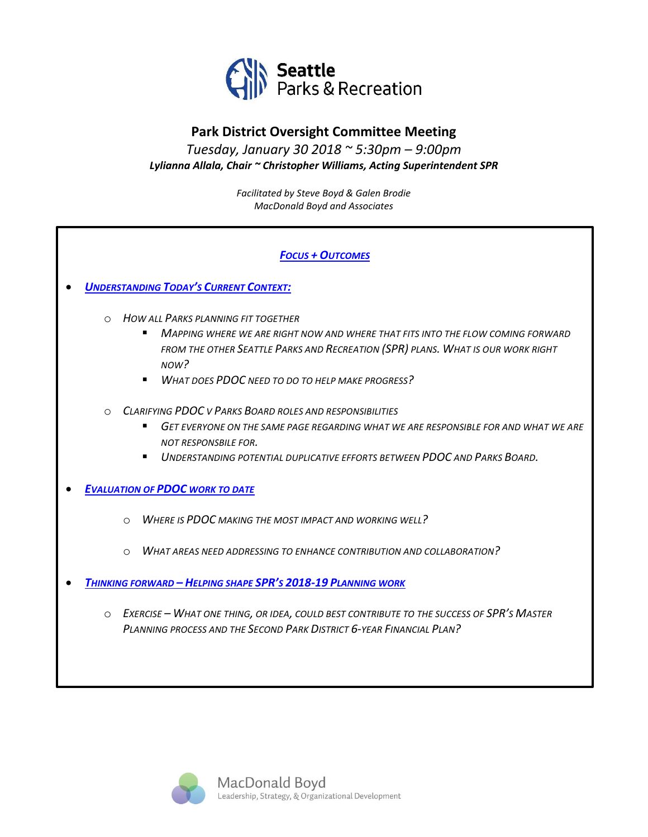

# **Park District Oversight Committee Meeting**

*Tuesday, January 30 2018 ~ 5:30pm – 9:00pm Lylianna Allala, Chair ~ Christopher Williams, Acting Superintendent SPR*

> *Facilitated by Steve Boyd & Galen Brodie MacDonald Boyd and Associates*

# *FOCUS + OUTCOMES*

#### • *UNDERSTANDING TODAY'S CURRENT CONTEXT:*

- o *HOW ALL PARKS PLANNING FIT TOGETHER*
	- MAPPING WHERE WE ARE RIGHT NOW AND WHERE THAT FITS INTO THE FLOW COMING FORWARD *FROM THE OTHER SEATTLE PARKS AND RECREATION (SPR) PLANS. WHAT IS OUR WORK RIGHT NOW?*
	- *WHAT DOES PDOC NEED TO DO TO HELP MAKE PROGRESS?*
- o *CLARIFYING PDOC V PARKS BOARD ROLES AND RESPONSIBILITIES* 
	- GET EVERYONE ON THE SAME PAGE REGARDING WHAT WE ARE RESPONSIBLE FOR AND WHAT WE ARE *NOT RESPONSBILE FOR.*
	- *UNDERSTANDING POTENTIAL DUPLICATIVE EFFORTS BETWEEN PDOC AND PARKS BOARD.*
- *EVALUATION OF PDOC WORK TO DATE*
	- o *WHERE IS PDOC MAKING THE MOST IMPACT AND WORKING WELL?*
	- o *WHAT AREAS NEED ADDRESSING TO ENHANCE CONTRIBUTION AND COLLABORATION?*
- *THINKING FORWARD – HELPING SHAPE SPR'S 2018-19 PLANNING WORK*
	- o *EXERCISE – WHAT ONE THING, OR IDEA, COULD BEST CONTRIBUTE TO THE SUCCESS OF SPR'S MASTER PLANNING PROCESS AND THE SECOND PARK DISTRICT 6-YEAR FINANCIAL PLAN?*